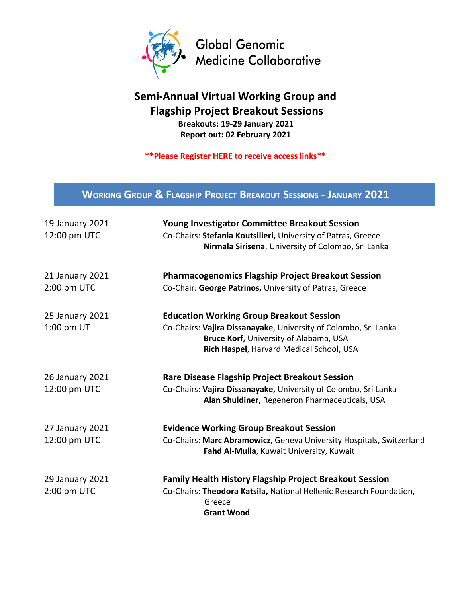

## **Semi-Annual Virtual Working Group and Flagship Project Breakout Sessions Breakouts: 19-29 January 2021**

**Report out: 02 February 2021**

**\*\*Please Register [HERE](https://forms.gle/VkNzfDUytQpT3MhH7) to receive access links\*\***

## **WORKING GROUP & FLAGSHIP PROJECT BREAKOUT SESSIONS - JANUARY 2021**

| 19 January 2021<br>12:00 pm UTC | <b>Young Investigator Committee Breakout Session</b><br>Co-Chairs: Stefania Koutsilieri, University of Patras, Greece<br>Nirmala Sirisena, University of Colombo, Sri Lanka |
|---------------------------------|-----------------------------------------------------------------------------------------------------------------------------------------------------------------------------|
| 21 January 2021                 | <b>Pharmacogenomics Flagship Project Breakout Session</b>                                                                                                                   |
| 2:00 pm UTC                     | Co-Chair: George Patrinos, University of Patras, Greece                                                                                                                     |
| <b>25 January 2021</b>          | <b>Education Working Group Breakout Session</b>                                                                                                                             |
| 1:00 pm UT                      | Co-Chairs: Vajira Dissanayake, University of Colombo, Sri Lanka                                                                                                             |
|                                 | Bruce Korf, University of Alabama, USA                                                                                                                                      |
|                                 | Rich Haspel, Harvard Medical School, USA                                                                                                                                    |
| <b>26 January 2021</b>          | <b>Rare Disease Flagship Project Breakout Session</b>                                                                                                                       |
| 12:00 pm UTC                    | Co-Chairs: Vajira Dissanayake, University of Colombo, Sri Lanka                                                                                                             |
|                                 | Alan Shuldiner, Regeneron Pharmaceuticals, USA                                                                                                                              |
| 27 January 2021                 | <b>Evidence Working Group Breakout Session</b>                                                                                                                              |
| 12:00 pm UTC                    | Co-Chairs: Marc Abramowicz, Geneva University Hospitals, Switzerland                                                                                                        |
|                                 | Fahd Al-Mulla, Kuwait University, Kuwait                                                                                                                                    |
| 29 January 2021                 | <b>Family Health History Flagship Project Breakout Session</b>                                                                                                              |
| 2:00 pm UTC                     | Co-Chairs: Theodora Katsila, National Hellenic Research Foundation,                                                                                                         |
|                                 | Greece                                                                                                                                                                      |
|                                 | <b>Grant Wood</b>                                                                                                                                                           |